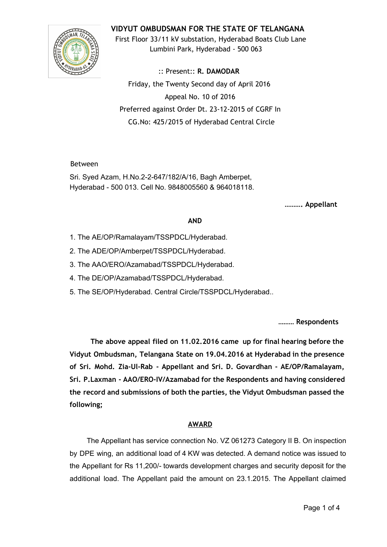

**VIDYUT OMBUDSMAN FOR THE STATE OF TELANGANA**

First Floor 33/11 kV substation, Hyderabad Boats Club Lane Lumbini Park, Hyderabad ‐ 500 063

:: Present:: **R. DAMODAR** Friday, the Twenty Second day of April 2016 Appeal No. 10 of 2016 Preferred against Order Dt. 23‐12‐2015 of CGRF In CG.No: 425/2015 of Hyderabad Central Circle

Between

Sri. Syed Azam, H.No.2-2-647/182/A/16, Bagh Amberpet, Hyderabad 500 013. Cell No. 9848005560 & 964018118.

**………. Appellant**

## **AND**

- 1. The AE/OP/Ramalayam/TSSPDCL/Hyderabad.
- 2. The ADE/OP/Amberpet/TSSPDCL/Hyderabad.
- 3. The AAO/ERO/Azamabad/TSSPDCL/Hyderabad.
- 4. The DE/OP/Azamabad/TSSPDCL/Hyderabad.
- 5. The SE/OP/Hyderabad. Central Circle/TSSPDCL/Hyderabad..

**……… Respondents**

**The above appeal filed on 11.02.2016 came up for final hearing before the Vidyut Ombudsman, Telangana State on 19.04.2016 at Hyderabad in the presence of Sri. Mohd. Zia‐Ul‐Rab ‐ Appellant and Sri. D. Govardhan ‐ AE/OP/Ramalayam, Sri. P.Laxman ‐ AAO/ERO‐IV/Azamabad for the Respondents and having considered the record and submissions of both the parties, the Vidyut Ombudsman passed the following;**

## **AWARD**

The Appellant has service connection No. VZ 061273 Category II B. On inspection by DPE wing, an additional load of 4 KW was detected. A demand notice was issued to the Appellant for Rs 11,200/- towards development charges and security deposit for the additional load. The Appellant paid the amount on 23.1.2015. The Appellant claimed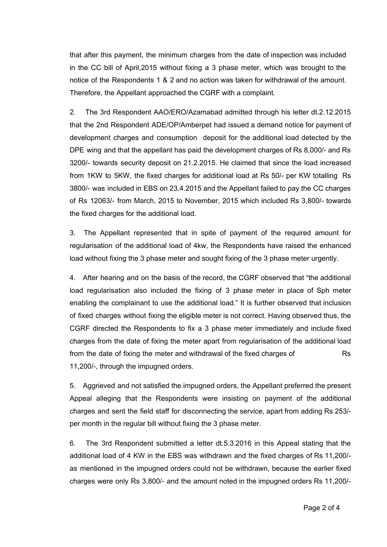that after this payment, the minimum charges from the date of inspection was included in the CC bill of April,2015 without fixing a 3 phase meter, which was brought to the notice of the Respondents 1 & 2 and no action was taken for withdrawal of the amount. Therefore, the Appellant approached the CGRF with a complaint.

2. The 3rd Respondent AAO/ERO/Azamabad admitted through his letter dt.2.12.2015 that the 2nd Respondent ADE/OP/Amberpet had issued a demand notice for payment of development charges and consumption deposit for the additional load detected by the DPE wing and that the appellant has paid the development charges of Rs 8,000/- and Rs 3200/- towards security deposit on 21.2.2015. He claimed that since the load increased from 1KW to 5KW, the fixed charges for additional load at Rs 50/- per KW totalling Rs 3800/ was included in EBS on 23.4.2015 and the Appellant failed to pay the CC charges of Rs 12063/- from March, 2015 to November, 2015 which included Rs 3,800/- towards the fixed charges for the additional load.

3. The Appellant represented that in spite of payment of the required amount for regularisation of the additional load of 4kw, the Respondents have raised the enhanced load without fixing the 3 phase meter and sought fixing of the 3 phase meter urgently.

4. After hearing and on the basis of the record, the CGRF observed that "the additional load regularisation also included the fixing of 3 phase meter in place of Sph meter enabling the complainant to use the additional load." It is further observed that inclusion of fixed charges without fixing the eligible meter is not correct. Having observed thus, the CGRF directed the Respondents to fix a 3 phase meter immediately and include fixed charges from the date of fixing the meter apart from regularisation of the additional load from the date of fixing the meter and withdrawal of the fixed charges of Rs 11,200/-, through the impugned orders.

5. Aggrieved and not satisfied the impugned orders, the Appellant preferred the present Appeal alleging that the Respondents were insisting on payment of the additional charges and sent the field staff for disconnecting the service, apart from adding Rs 253/ per month in the regular bill without fixing the 3 phase meter.

6. The 3rd Respondent submitted a letter dt.5.3.2016 in this Appeal stating that the additional load of 4 KW in the EBS was withdrawn and the fixed charges of Rs 11,200/ as mentioned in the impugned orders could not be withdrawn, because the earlier fixed charges were only Rs 3,800/- and the amount noted in the impugned orders Rs 11,200/-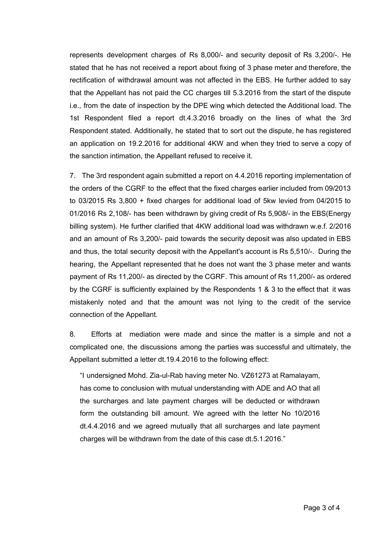represents development charges of Rs 8,000/- and security deposit of Rs 3,200/-. He stated that he has not received a report about fixing of 3 phase meter and therefore, the rectification of withdrawal amount was not affected in the EBS. He further added to say that the Appellant has not paid the CC charges till 5.3.2016 from the start of the dispute i.e., from the date of inspection by the DPE wing which detected the Additional load. The 1st Respondent filed a report dt.4.3.2016 broadly on the lines of what the 3rd Respondent stated. Additionally, he stated that to sort out the dispute, he has registered an application on 19.2.2016 for additional 4KW and when they tried to serve a copy of the sanction intimation, the Appellant refused to receive it.

7. The 3rd respondent again submitted a report on 4.4.2016 reporting implementation of the orders of the CGRF to the effect that the fixed charges earlier included from 09/2013 to 03/2015 Rs 3,800 + fixed charges for additional load of 5kw levied from 04/2015 to 01/2016 Rs 2,108/- has been withdrawn by giving credit of Rs 5,908/- in the EBS(Energy billing system). He further clarified that 4KW additional load was withdrawn w.e.f. 2/2016 and an amount of Rs 3,200/- paid towards the security deposit was also updated in EBS and thus, the total security deposit with the Appellant's account is Rs 5,510/. During the hearing, the Appellant represented that he does not want the 3 phase meter and wants payment of Rs 11,200/- as directed by the CGRF. This amount of Rs 11,200/- as ordered by the CGRF is sufficiently explained by the Respondents 1 & 3 to the effect that it was mistakenly noted and that the amount was not lying to the credit of the service connection of the Appellant.

8. Efforts at mediation were made and since the matter is a simple and not a complicated one, the discussions among the parties was successful and ultimately, the Appellant submitted a letter dt.19.4.2016 to the following effect:

"I undersigned Mohd. Zia-ul-Rab having meter No. VZ61273 at Ramalayam, has come to conclusion with mutual understanding with ADE and AO that all the surcharges and late payment charges will be deducted or withdrawn form the outstanding bill amount. We agreed with the letter No 10/2016 dt.4.4.2016 and we agreed mutually that all surcharges and late payment charges will be withdrawn from the date of this case dt.5.1.2016."